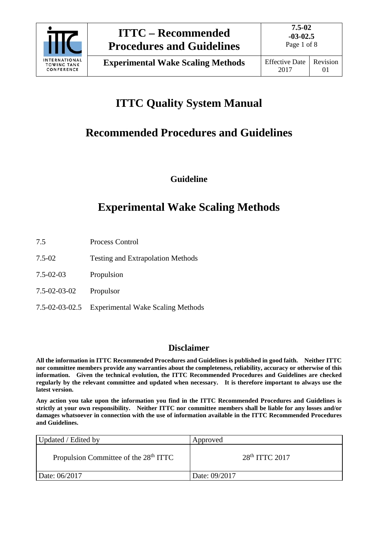

# **ITTC Quality System Manual**

## **Recommended Procedures and Guidelines**

**Guideline**

## **Experimental Wake Scaling Methods**

- 7.5 Process Control
- 7.5-02 Testing and Extrapolation Methods
- 7.5-02-03 Propulsion
- 7.5-02-03-02 Propulsor
- 7.5-02-03-02.5 Experimental Wake Scaling Methods

## **Disclaimer**

**All the information in ITTC Recommended Procedures and Guidelines is published in good faith. Neither ITTC nor committee members provide any warranties about the completeness, reliability, accuracy or otherwise of this information. Given the technical evolution, the ITTC Recommended Procedures and Guidelines are checked regularly by the relevant committee and updated when necessary. It is therefore important to always use the latest version.**

**Any action you take upon the information you find in the ITTC Recommended Procedures and Guidelines is strictly at your own responsibility. Neither ITTC nor committee members shall be liable for any losses and/or damages whatsoever in connection with the use of information available in the ITTC Recommended Procedures and Guidelines.**

| Updated / Edited by                               | Approved         |
|---------------------------------------------------|------------------|
| Propulsion Committee of the 28 <sup>th</sup> ITTC | $28th$ ITTC 2017 |
| Date: 06/2017                                     | Date: 09/2017    |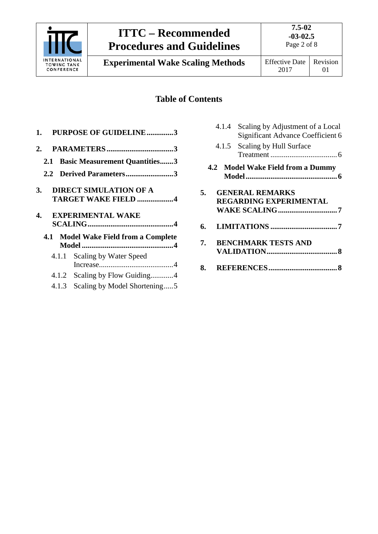

**Experimental Wake Scaling Methods** Effective Date

2017 Revision 01

## **Table of Contents**

| 1. PURPOSE OF GUIDELINE3                                                 |  |
|--------------------------------------------------------------------------|--|
|                                                                          |  |
| 2.1 Basic Measurement Quantities3                                        |  |
| 2.2 Derived Parameters3                                                  |  |
| <b>DIRECT SIMULATION OF A</b><br><b>3.</b><br><b>TARGET WAKE FIELD 4</b> |  |
| <b>EXPERIMENTAL WAKE</b><br>4.                                           |  |
|                                                                          |  |
| 4.1 Model Wake Field from a Complete                                     |  |
| 4.1.1 Scaling by Water Speed                                             |  |

4.1.3 [Scaling by Model Shortening.....5](#page-4-0)

| 4.1.4 Scaling by Adjustment of a Local |  |  |
|----------------------------------------|--|--|
| Significant Advance Coefficient 6      |  |  |

- 4.1.5 [Scaling by Hull Surface](#page-5-1)  Treatment [...................................6](#page-5-1)
- **4.2 [Model Wake Field from a Dummy](#page-5-2)  [Model................................................6](#page-5-2)**

| 5. GENERAL REMARKS<br><b>REGARDING EXPERIMENTAL</b> |  |  |
|-----------------------------------------------------|--|--|
|                                                     |  |  |
| <b>BERTATTE FIRTHMORA</b> IST                       |  |  |

- **7. [BENCHMARK TESTS AND](#page-7-0)  [VALIDATION.....................................8](#page-7-0)**
- **8. [REFERENCES....................................8](#page-7-1)**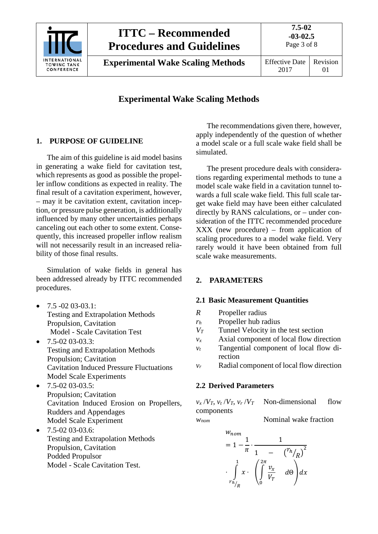

**Experimental Wake Scaling Methods** | Effective Date

2017 Revision 01

## **Experimental Wake Scaling Methods**

## <span id="page-2-0"></span>**1. PURPOSE OF GUIDELINE**

The aim of this guideline is aid model basins in generating a wake field for cavitation test, which represents as good as possible the propeller inflow conditions as expected in reality. The final result of a cavitation experiment, however, – may it be cavitation extent, cavitation inception, or pressure pulse generation, is additionally influenced by many other uncertainties perhaps canceling out each other to some extent. Consequently, this increased propeller inflow realism will not necessarily result in an increased reliability of those final results.

Simulation of wake fields in general has been addressed already by ITTC recommended procedures.

- 7.5 -02 03-03.1: Testing and Extrapolation Methods Propulsion, Cavitation Model - Scale Cavitation Test
- $\bullet$  7.5-02 03-03.3: Testing and Extrapolation Methods Propulsion; Cavitation Cavitation Induced Pressure Fluctuations Model Scale Experiments
- $\bullet$  7.5-02 03-03.5: Propulsion; Cavitation Cavitation Induced Erosion on Propellers, Rudders and Appendages Model Scale Experiment
- $\bullet$  7.5-02 03-03.6: Testing and Extrapolation Methods Propulsion, Cavitation Podded Propulsor Model - Scale Cavitation Test.

The recommendations given there, however, apply independently of the question of whether a model scale or a full scale wake field shall be simulated.

The present procedure deals with considerations regarding experimental methods to tune a model scale wake field in a cavitation tunnel towards a full scale wake field. This full scale target wake field may have been either calculated directly by RANS calculations, or – under consideration of the ITTC recommended procedure XXX (new procedure) – from application of scaling procedures to a model wake field. Very rarely would it have been obtained from full scale wake measurements.

### <span id="page-2-2"></span><span id="page-2-1"></span>**2. PARAMETERS**

#### **2.1 Basic Measurement Quantities**

- *R* Propeller radius
- *rh* Propeller hub radius
- *VT* Tunnel Velocity in the test section
- $v_x$  Axial component of local flow direction
- *vt* Tangential component of local flow direction
- <span id="page-2-3"></span>*vr* Radial component of local flow direction

### **2.2 Derived Parameters**

 $\overline{M}$ 

 $v_x/V_T$ ,  $v_t/V_T$ ,  $v_r/V_T$  Non-dimensional flow components *W<sub>nom</sub>* Nominal wake fraction

$$
= 1 - \frac{1}{\pi} \cdot \frac{1}{1 - \left(\frac{r_h}{R}\right)^2}
$$

$$
\cdot \int_{r_h}{x} \cdot \left(\int_0^{2\pi} \frac{v_x}{V_T} d\theta\right) dx
$$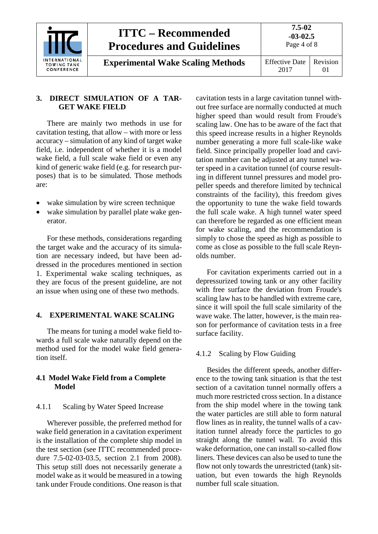

**Experimental Wake Scaling Methods** | Effective Date

**7.5-02 -03-02.5** Page 4 of 8 Revision

01

### <span id="page-3-0"></span>**3. DIRECT SIMULATION OF A TAR-GET WAKE FIELD**

There are mainly two methods in use for cavitation testing, that allow – with more or less accuracy – simulation of any kind of target wake field, i.e. independent of whether it is a model wake field, a full scale wake field or even any kind of generic wake field (e.g. for research purposes) that is to be simulated. Those methods are:

- wake simulation by wire screen technique
- wake simulation by parallel plate wake generator.

For these methods, considerations regarding the target wake and the accuracy of its simulation are necessary indeed, but have been addressed in the procedures mentioned in section 1. Experimental wake scaling techniques, as they are focus of the present guideline, are not an issue when using one of these two methods.

## <span id="page-3-1"></span>**4. EXPERIMENTAL WAKE SCALING**

The means for tuning a model wake field towards a full scale wake naturally depend on the method used for the model wake field generation itself.

### <span id="page-3-2"></span>**4.1 Model Wake Field from a Complete Model**

## <span id="page-3-3"></span>4.1.1 Scaling by Water Speed Increase

Wherever possible, the preferred method for wake field generation in a cavitation experiment is the installation of the complete ship model in the test section (see ITTC recommended procedure 7.5-02-03-03.5, section 2.1 from 2008). This setup still does not necessarily generate a model wake as it would be measured in a towing tank under Froude conditions. One reason is that cavitation tests in a large cavitation tunnel without free surface are normally conducted at much higher speed than would result from Froude's scaling law. One has to be aware of the fact that this speed increase results in a higher Reynolds number generating a more full scale-like wake field. Since principally propeller load and cavitation number can be adjusted at any tunnel water speed in a cavitation tunnel (of course resulting in different tunnel pressures and model propeller speeds and therefore limited by technical constraints of the facility), this freedom gives the opportunity to tune the wake field towards the full scale wake. A high tunnel water speed can therefore be regarded as one efficient mean for wake scaling, and the recommendation is simply to chose the speed as high as possible to come as close as possible to the full scale Reynolds number.

For cavitation experiments carried out in a depressurized towing tank or any other facility with free surface the deviation from Froude's scaling law has to be handled with extreme care, since it will spoil the full scale similarity of the wave wake. The latter, however, is the main reason for performance of cavitation tests in a free surface facility.

## <span id="page-3-4"></span>4.1.2 Scaling by Flow Guiding

Besides the different speeds, another difference to the towing tank situation is that the test section of a cavitation tunnel normally offers a much more restricted cross section. In a distance from the ship model where in the towing tank the water particles are still able to form natural flow lines as in reality, the tunnel walls of a cavitation tunnel already force the particles to go straight along the tunnel wall. To avoid this wake deformation, one can install so-called flow liners. These devices can also be used to tune the flow not only towards the unrestricted (tank) situation, but even towards the high Reynolds number full scale situation.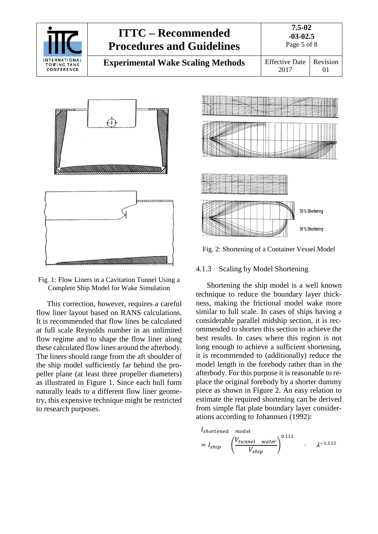

**7.5-02 -03-02.5**

**Experimental Wake Scaling Methods** | Effective Date





Fig. 1: Flow Liners in a Cavitation Tunnel Using a Complete Ship Model for Wake Simulation

This correction, however, requires a careful flow liner layout based on RANS calculations. It is recommended that flow lines be calculated at full scale Reynolds number in an unlimited flow regime and to shape the flow liner along these calculated flow lines around the afterbody. The liners should range from the aft shoulder of the ship model sufficiently far behind the propeller plane (at least three propeller diameters) as illustrated in Figure 1. Since each hull form naturally leads to a different flow liner geometry, this expensive technique might be restricted to research purposes.



Fig. 2: Shortening of a Container Vessel Model

#### <span id="page-4-0"></span>4.1.3 Scaling by Model Shortening

Shortening the ship model is a well known technique to reduce the boundary layer thickness, making the frictional model wake more similar to full scale. In cases of ships having a considerable parallel midship section, it is recommended to shorten this section to achieve the best results. In cases where this region is not long enough to achieve a sufficient shortening, it is recommended to (additionally) reduce the model length in the forebody rather than in the afterbody. For this purpose it is reasonable to replace the original forebody by a shorter dummy piece as shown in Figure 2. An easy relation to estimate the required shortening can be derived from simple flat plate boundary layer considerations according to Johannsen (1992):

$$
l_{shortened \tmodel}
$$
  
=  $l_{ship}$   $\left(\frac{V_{tunnel \t water}}{V_{ship}}\right)^{0.111}$  .  $\lambda^{-1.111}$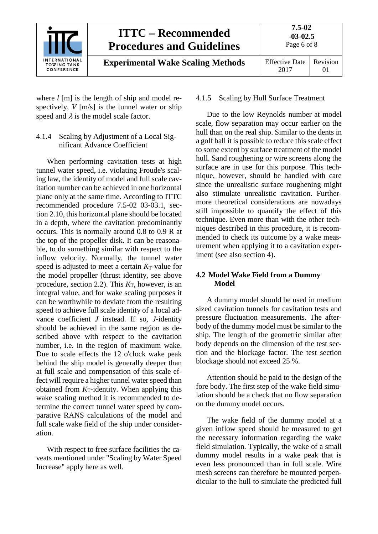

where *l* [m] is the length of ship and model respectively, *V* [m/s] is the tunnel water or ship speed and  $\lambda$  is the model scale factor.

<span id="page-5-0"></span>4.1.4 Scaling by Adjustment of a Local Significant Advance Coefficient

When performing cavitation tests at high tunnel water speed, i.e. violating Froude's scaling law, the identity of model and full scale cavitation number can be achieved in one horizontal plane only at the same time. According to ITTC recommended procedure 7.5-02 03-03.1, section 2.10, this horizontal plane should be located in a depth, where the cavitation predominantly occurs. This is normally around 0.8 to 0.9 R at the top of the propeller disk. It can be reasonable, to do something similar with respect to the inflow velocity. Normally, the tunnel water speed is adjusted to meet a certain  $K_T$ -value for the model propeller (thrust identity, see above procedure, section 2.2). This  $K<sub>T</sub>$ , however, is an integral value, and for wake scaling purposes it can be worthwhile to deviate from the resulting speed to achieve full scale identity of a local advance coefficient *J* instead. If so, *J*-identity should be achieved in the same region as described above with respect to the cavitation number, i.e. in the region of maximum wake. Due to scale effects the 12 o'clock wake peak behind the ship model is generally deeper than at full scale and compensation of this scale effect will require a higher tunnel water speed than obtained from *K*<sub>T</sub>-identity. When applying this wake scaling method it is recommended to determine the correct tunnel water speed by comparative RANS calculations of the model and full scale wake field of the ship under consideration.

With respect to free surface facilities the caveats mentioned under "Scaling by Water Speed Increase" apply here as well.

#### <span id="page-5-1"></span>4.1.5 Scaling by Hull Surface Treatment

Due to the low Reynolds number at model scale, flow separation may occur earlier on the hull than on the real ship. Similar to the dents in a golf ball it is possible to reduce this scale effect to some extent by surface treatment of the model hull. Sand roughening or wire screens along the surface are in use for this purpose. This technique, however, should be handled with care since the unrealistic surface roughening might also stimulate unrealistic cavitation. Furthermore theoretical considerations are nowadays still impossible to quantify the effect of this technique. Even more than with the other techniques described in this procedure, it is recommended to check its outcome by a wake measurement when applying it to a cavitation experiment (see also section 4).

#### <span id="page-5-2"></span>**4.2 Model Wake Field from a Dummy Model**

A dummy model should be used in medium sized cavitation tunnels for cavitation tests and pressure fluctuation measurements. The afterbody of the dummy model must be similar to the ship. The length of the geometric similar after body depends on the dimension of the test section and the blockage factor. The test section blockage should not exceed 25 %.

Attention should be paid to the design of the fore body. The first step of the wake field simulation should be a check that no flow separation on the dummy model occurs.

The wake field of the dummy model at a given inflow speed should be measured to get the necessary information regarding the wake field simulation. Typically, the wake of a small dummy model results in a wake peak that is even less pronounced than in full scale. Wire mesh screens can therefore be mounted perpendicular to the hull to simulate the predicted full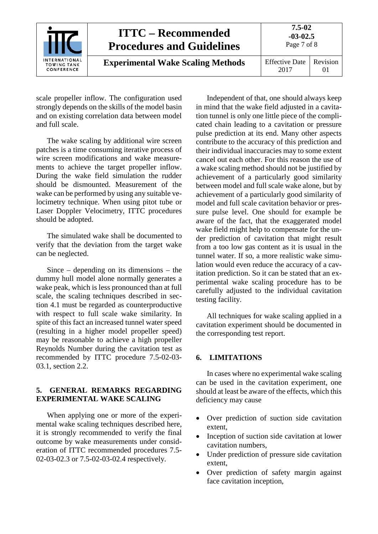|                                                   | <b>ITTC – Recommended</b><br><b>Procedures and Guidelines</b> | 7.5-02<br>$-03-02.5$<br>Page 7 of 8 |                     |
|---------------------------------------------------|---------------------------------------------------------------|-------------------------------------|---------------------|
| INTERNATIONAL<br><b>TOWING TANK</b><br>CONFERENCE | <b>Experimental Wake Scaling Methods</b>                      | <b>Effective Date</b><br>2017       | Revision<br>$_{01}$ |

scale propeller inflow. The configuration used strongly depends on the skills of the model basin and on existing correlation data between model and full scale.

The wake scaling by additional wire screen patches is a time consuming iterative process of wire screen modifications and wake measurements to achieve the target propeller inflow. During the wake field simulation the rudder should be dismounted. Measurement of the wake can be performed by using any suitable velocimetry technique. When using pitot tube or Laser Doppler Velocimetry, ITTC procedures should be adopted.

The simulated wake shall be documented to verify that the deviation from the target wake can be neglected.

Since – depending on its dimensions – the dummy hull model alone normally generates a wake peak, which is less pronounced than at full scale, the scaling techniques described in section 4.1 must be regarded as counterproductive with respect to full scale wake similarity. In spite of this fact an increased tunnel water speed (resulting in a higher model propeller speed) may be reasonable to achieve a high propeller Reynolds Number during the cavitation test as recommended by ITTC procedure 7.5-02-03- 03.1, section 2.2.

#### <span id="page-6-0"></span>**5. GENERAL REMARKS REGARDING EXPERIMENTAL WAKE SCALING**

When applying one or more of the experimental wake scaling techniques described here, it is strongly recommended to verify the final outcome by wake measurements under consideration of ITTC recommended procedures 7.5- 02-03-02.3 or 7.5-02-03-02.4 respectively.

Independent of that, one should always keep in mind that the wake field adjusted in a cavitation tunnel is only one little piece of the complicated chain leading to a cavitation or pressure pulse prediction at its end. Many other aspects contribute to the accuracy of this prediction and their individual inaccuracies may to some extent cancel out each other. For this reason the use of a wake scaling method should not be justified by achievement of a particularly good similarity between model and full scale wake alone, but by achievement of a particularly good similarity of model and full scale cavitation behavior or pressure pulse level. One should for example be aware of the fact, that the exaggerated model wake field might help to compensate for the under prediction of cavitation that might result from a too low gas content as it is usual in the tunnel water. If so, a more realistic wake simulation would even reduce the accuracy of a cavitation prediction. So it can be stated that an experimental wake scaling procedure has to be carefully adjusted to the individual cavitation testing facility.

All techniques for wake scaling applied in a cavitation experiment should be documented in the corresponding test report.

#### <span id="page-6-1"></span>**6. LIMITATIONS**

In cases where no experimental wake scaling can be used in the cavitation experiment, one should at least be aware of the effects, which this deficiency may cause

- Over prediction of suction side cavitation extent,
- Inception of suction side cavitation at lower cavitation numbers,
- Under prediction of pressure side cavitation extent,
- Over prediction of safety margin against face cavitation inception,